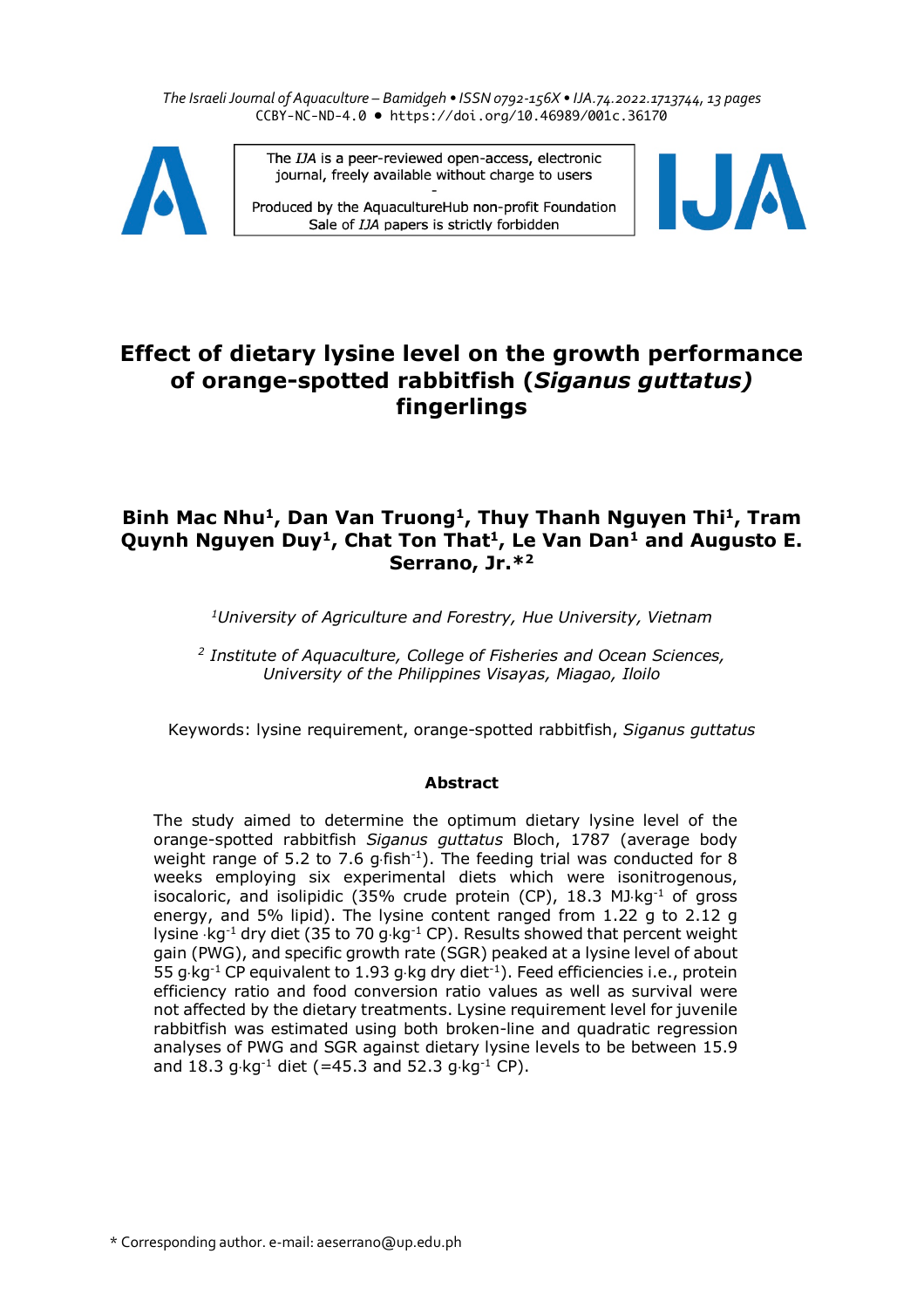*The Israeli Journal of Aquaculture – Bamidgeh • ISSN 0792-156X • IJA.74.2022.1713744, 13 pages* CCBY-NC-ND-4.0 • https://doi.org/10.46989/001c.36170



The IJA is a peer-reviewed open-access, electronic journal, freely available without charge to users

Produced by the AquacultureHub non-profit Foundation Sale of IJA papers is strictly forbidden



# **Effect of dietary lysine level on the growth performance of orange-spotted rabbitfish (***Siganus guttatus)*  **fingerlings**

# **Binh Mac Nhu1, Dan Van Truong1, Thuy Thanh Nguyen Thi1, Tram Quynh Nguyen Duy1, Chat Ton That1, Le Van Dan1 and Augusto E. Serrano, Jr.\*2**

*1University of Agriculture and Forestry, Hue University, Vietnam*

*<sup>2</sup> Institute of Aquaculture, College of Fisheries and Ocean Sciences, University of the Philippines Visayas, Miagao, Iloilo*

Keywords: lysine requirement, orange-spotted rabbitfish, *Siganus guttatus*

# **Abstract**

The study aimed to determine the optimum dietary lysine level of the orange-spotted rabbitfish *Siganus guttatus* Bloch, 1787 (average body weight range of 5.2 to 7.6  $q$ -fish<sup>-1</sup>). The feeding trial was conducted for 8 weeks employing six experimental diets which were isonitrogenous, isocaloric, and isolipidic (35% crude protein (CP),  $18.3$  MJ $kg^{-1}$  of gross energy, and 5% lipid). The lysine content ranged from 1.22 g to 2.12 g lysine  $kg^{-1}$  dry diet (35 to 70 g kg<sup>-1</sup> CP). Results showed that percent weight gain (PWG), and specific growth rate (SGR) peaked at a lysine level of about 55 g $\cdot$ kg<sup>-1</sup> CP equivalent to 1.93 g $\cdot$ kg dry diet<sup>-1</sup>). Feed efficiencies i.e., protein efficiency ratio and food conversion ratio values as well as survival were not affected by the dietary treatments. Lysine requirement level for juvenile rabbitfish was estimated using both broken-line and quadratic regression analyses of PWG and SGR against dietary lysine levels to be between 15.9 and 18.3 g $kg^{-1}$  diet (=45.3 and 52.3 g $kg^{-1}$  CP).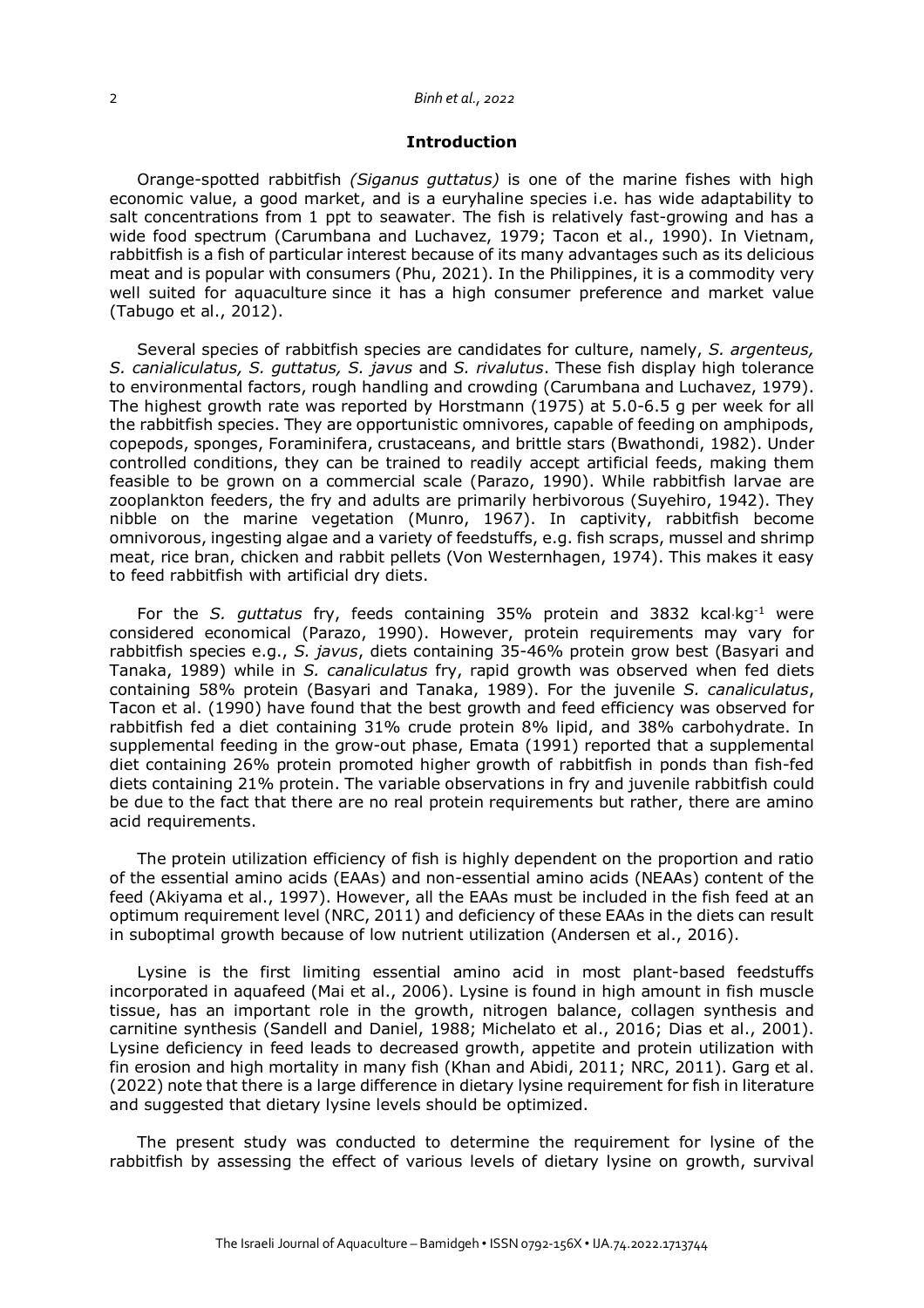#### 2 *Binh et al., 2022*

#### **Introduction**

Orange-spotted rabbitfish *(Siganus guttatus)* is one of the marine fishes with high economic value, a good market, and is a euryhaline species i.e. has wide adaptability to salt concentrations from 1 ppt to seawater. The fish is relatively fast-growing and has a wide food spectrum (Carumbana and Luchavez, 1979; Tacon et al., 1990). In Vietnam, rabbitfish is a fish of particular interest because of its many advantages such as its delicious meat and is popular with consumers (Phu, 2021). In the Philippines, it is a commodity very well suited for aquaculture since it has a high consumer preference and market value (Tabugo et al., 2012).

Several species of rabbitfish species are candidates for culture, namely, *S. argenteus, S. canialiculatus, S. guttatus, S. javus* and *S. rivalutus*. These fish display high tolerance to environmental factors, rough handling and crowding (Carumbana and Luchavez, 1979). The highest growth rate was reported by Horstmann (1975) at 5.0-6.5 g per week for all the rabbitfish species. They are opportunistic omnivores, capable of feeding on amphipods, copepods, sponges, Foraminifera, crustaceans, and brittle stars (Bwathondi, 1982). Under controlled conditions, they can be trained to readily accept artificial feeds, making them feasible to be grown on a commercial scale (Parazo, 1990). While rabbitfish larvae are zooplankton feeders, the fry and adults are primarily herbivorous (Suyehiro, 1942). They nibble on the marine vegetation (Munro, 1967). In captivity, rabbitfish become omnivorous, ingesting algae and a variety of feedstuffs, e.g. fish scraps, mussel and shrimp meat, rice bran, chicken and rabbit pellets (Von Westernhagen, 1974). This makes it easy to feed rabbitfish with artificial dry diets.

For the *S. guttatus* fry, feeds containing 35% protein and 3832 kcal×kg-1 were considered economical (Parazo, 1990). However, protein requirements may vary for rabbitfish species e.g., *S. javus*, diets containing 35-46% protein grow best (Basyari and Tanaka, 1989) while in *S. canaliculatus* fry, rapid growth was observed when fed diets containing 58% protein (Basyari and Tanaka, 1989). For the juvenile *S. canaliculatus*, Tacon et al. (1990) have found that the best growth and feed efficiency was observed for rabbitfish fed a diet containing 31% crude protein 8% lipid, and 38% carbohydrate. In supplemental feeding in the grow-out phase, Emata (1991) reported that a supplemental diet containing 26% protein promoted higher growth of rabbitfish in ponds than fish-fed diets containing 21% protein. The variable observations in fry and juvenile rabbitfish could be due to the fact that there are no real protein requirements but rather, there are amino acid requirements.

The protein utilization efficiency of fish is highly dependent on the proportion and ratio of the essential amino acids (EAAs) and non-essential amino acids (NEAAs) content of the feed (Akiyama et al., 1997). However, all the EAAs must be included in the fish feed at an optimum requirement level (NRC, 2011) and deficiency of these EAAs in the diets can result in suboptimal growth because of low nutrient utilization (Andersen et al., 2016).

Lysine is the first limiting essential amino acid in most plant-based feedstuffs incorporated in aquafeed (Mai et al., 2006). Lysine is found in high amount in fish muscle tissue, has an important role in the growth, nitrogen balance, collagen synthesis and carnitine synthesis (Sandell and Daniel, 1988; Michelato et al., 2016; Dias et al., 2001). Lysine deficiency in feed leads to decreased growth, appetite and protein utilization with fin erosion and high mortality in many fish (Khan and Abidi, 2011; NRC, 2011). Garg et al. (2022) note that there is a large difference in dietary lysine requirement for fish in literature and suggested that dietary lysine levels should be optimized.

The present study was conducted to determine the requirement for lysine of the rabbitfish by assessing the effect of various levels of dietary lysine on growth, survival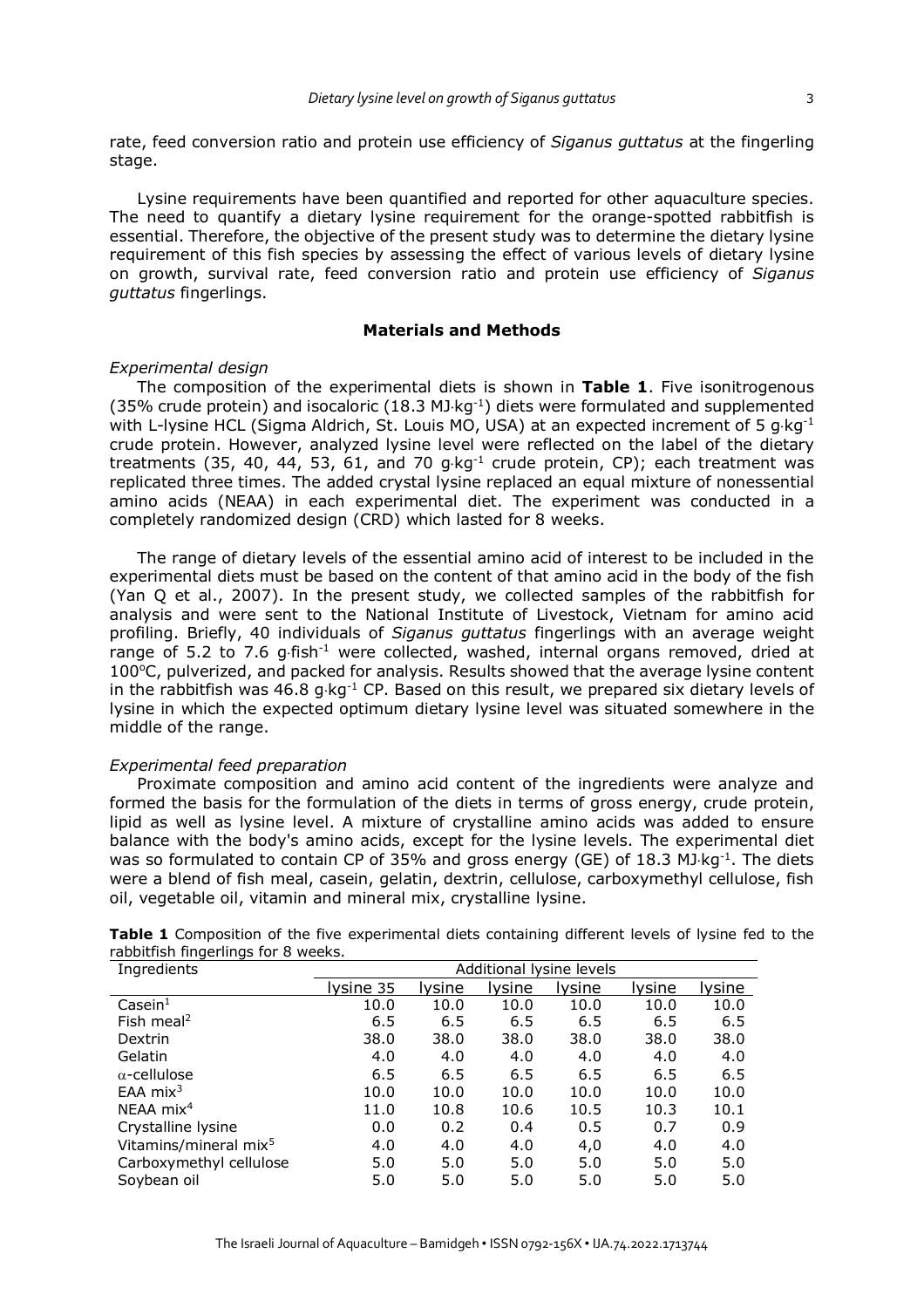rate, feed conversion ratio and protein use efficiency of *Siganus guttatus* at the fingerling stage.

Lysine requirements have been quantified and reported for other aquaculture species. The need to quantify a dietary lysine requirement for the orange-spotted rabbitfish is essential. Therefore, the objective of the present study was to determine the dietary lysine requirement of this fish species by assessing the effect of various levels of dietary lysine on growth, survival rate, feed conversion ratio and protein use efficiency of *Siganus guttatus* fingerlings.

## **Materials and Methods**

#### *Experimental design*

The composition of the experimental diets is shown in **Table 1**. Five isonitrogenous (35% crude protein) and isocaloric  $(18.3 \text{ MJ/kg}^{-1})$  diets were formulated and supplemented with L-lysine HCL (Sigma Aldrich, St. Louis MO, USA) at an expected increment of 5  $q$ ·kg<sup>-1</sup> crude protein. However, analyzed lysine level were reflected on the label of the dietary treatments (35, 40, 44, 53, 61, and 70  $g \cdot kg^{-1}$  crude protein, CP); each treatment was replicated three times. The added crystal lysine replaced an equal mixture of nonessential amino acids (NEAA) in each experimental diet. The experiment was conducted in a completely randomized design (CRD) which lasted for 8 weeks.

The range of dietary levels of the essential amino acid of interest to be included in the experimental diets must be based on the content of that amino acid in the body of the fish (Yan Q et al., 2007). In the present study, we collected samples of the rabbitfish for analysis and were sent to the National Institute of Livestock, Vietnam for amino acid profiling. Briefly, 40 individuals of *Siganus guttatus* fingerlings with an average weight range of 5.2 to 7.6 g $\cdot$ fish $^{-1}$  were collected, washed, internal organs removed, dried at  $100^{\circ}$ C, pulverized, and packed for analysis. Results showed that the average lysine content in the rabbitfish was  $46.8$  g $kg^{-1}$  CP. Based on this result, we prepared six dietary levels of lysine in which the expected optimum dietary lysine level was situated somewhere in the middle of the range.

#### *Experimental feed preparation*

Proximate composition and amino acid content of the ingredients were analyze and formed the basis for the formulation of the diets in terms of gross energy, crude protein, lipid as well as lysine level. A mixture of crystalline amino acids was added to ensure balance with the body's amino acids, except for the lysine levels. The experimental diet was so formulated to contain CP of 35% and gross energy (GE) of 18.3 MJ kg<sup>-1</sup>. The diets were a blend of fish meal, casein, gelatin, dextrin, cellulose, carboxymethyl cellulose, fish oil, vegetable oil, vitamin and mineral mix, crystalline lysine.

|                                     | <b>Table 1</b> Composition of the five experimental diets containing different levels of lysine fed to the |  |
|-------------------------------------|------------------------------------------------------------------------------------------------------------|--|
| rabbitfish fingerlings for 8 weeks. |                                                                                                            |  |
| Ingradiante                         | Additional lycing lovels                                                                                   |  |

| Ingredients                       |           |        |        | Additional lysine levels |        |        |
|-----------------------------------|-----------|--------|--------|--------------------------|--------|--------|
|                                   | lysine 35 | lysine | lysine | Iysine                   | Iysine | lysine |
| $\textsf{Case} \textsf{in}^1$     | 10.0      | 10.0   | 10.0   | 10.0                     | 10.0   | 10.0   |
| Fish meal <sup>2</sup>            | 6.5       | 6.5    | 6.5    | 6.5                      | 6.5    | 6.5    |
| Dextrin                           | 38.0      | 38.0   | 38.0   | 38.0                     | 38.0   | 38.0   |
| Gelatin                           | 4.0       | 4.0    | 4.0    | 4.0                      | 4.0    | 4.0    |
| $\alpha$ -cellulose               | 6.5       | 6.5    | 6.5    | 6.5                      | 6.5    | 6.5    |
| EAA $mix3$                        | 10.0      | 10.0   | 10.0   | 10.0                     | 10.0   | 10.0   |
| $NEAA$ mix <sup>4</sup>           | 11.0      | 10.8   | 10.6   | 10.5                     | 10.3   | 10.1   |
| Crystalline lysine                | 0.0       | 0.2    | 0.4    | 0.5                      | 0.7    | 0.9    |
| Vitamins/mineral mix <sup>5</sup> | 4.0       | 4.0    | 4.0    | 4,0                      | 4.0    | 4.0    |
| Carboxymethyl cellulose           | 5.0       | 5.0    | 5.0    | 5.0                      | 5.0    | 5.0    |
| Soybean oil                       | 5.0       | 5.0    | 5.0    | 5.0                      | 5.0    | 5.0    |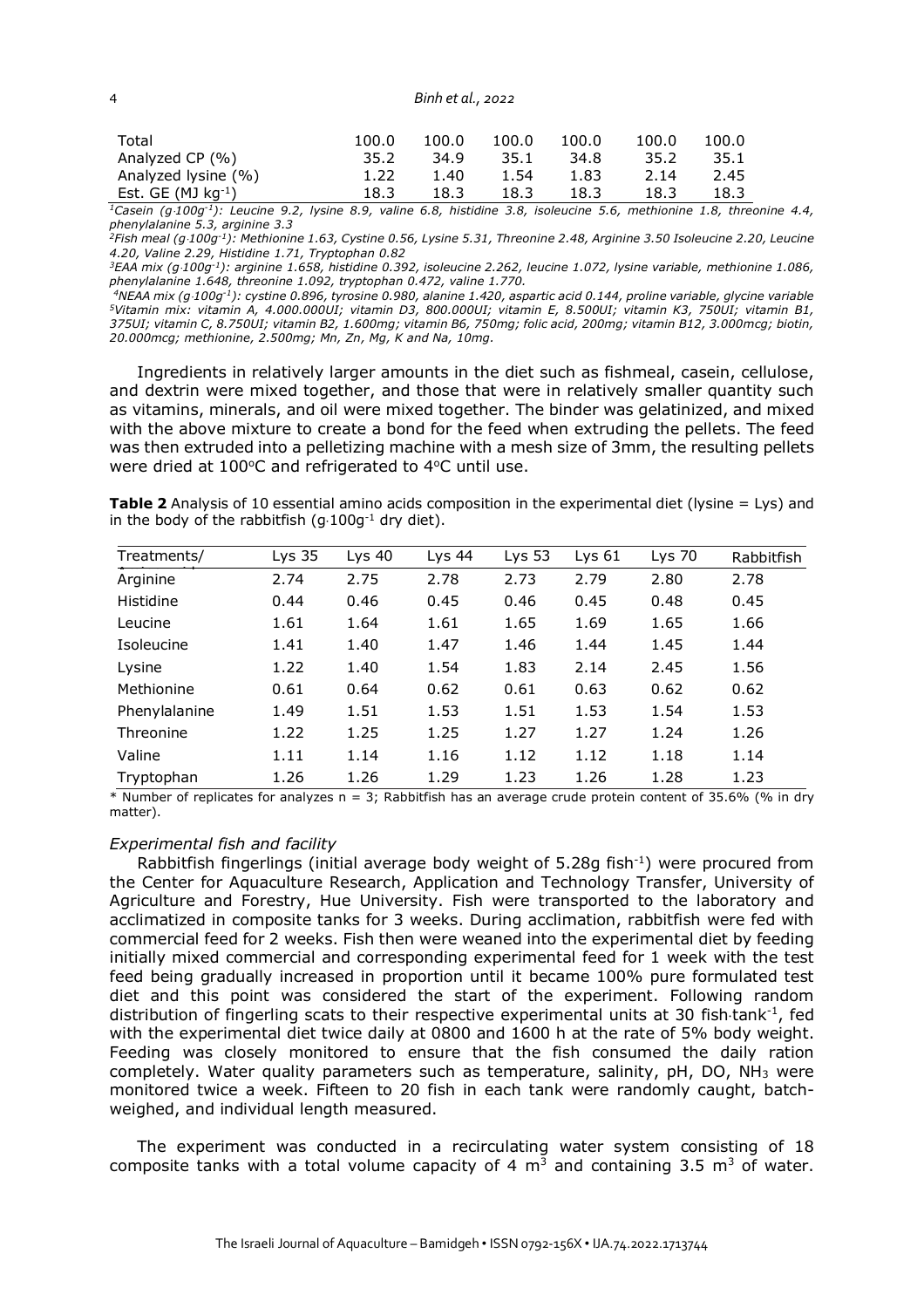4 *Binh et al., 2022*

| Total               | 100.0 | 100.0 | 100.0 | 100.0 | 100.0 | 100.0 |
|---------------------|-------|-------|-------|-------|-------|-------|
| Analyzed CP (%)     | 35.2  | 34.9  | 35.1  | 34.8  | 35.2  | 35.1  |
| Analyzed lysine (%) | 1.22  | 1.40  | 1.54  | 1.83  | 2.14  | 2.45  |
| Est. GE $(MJ kg-1)$ | 18.3  | 18.3  | 18.3  | 18.3  | 18.3  | 18.3  |

<sup>1</sup>Casein (g·100g<sup>-1</sup>): Leucine 9.2, lysine 8.9, valine 6.8, histidine 3.8, isoleucine 5.6, methionine 1.8, threonine 4.4, *phenylalanine 5.3, arginine 3.3*

*2Fish meal (g*×*100g-1): Methionine 1.63, Cystine 0.56, Lysine 5.31, Threonine 2.48, Arginine 3.50 Isoleucine 2.20, Leucine 4.20, Valine 2.29, Histidine 1.71, Tryptophan 0.82*

*3EAA mix (g*×*100g-1): arginine 1.658, histidine 0.392, isoleucine 2.262, leucine 1.072, lysine variable, methionine 1.086, phenylalanine 1.648, threonine 1.092, tryptophan 0.472, valine 1.770.*

*4NEAA mix (g*×*100g-1): cystine 0.896, tyrosine 0.980, alanine 1.420, aspartic acid 0.144, proline variable, glycine variable 5Vitamin mix: vitamin A, 4.000.000UI; vitamin D3, 800.000UI; vitamin E, 8.500UI; vitamin K3, 750UI; vitamin B1, 375UI; vitamin C, 8.750UI; vitamin B2, 1.600mg; vitamin B6, 750mg; folic acid, 200mg; vitamin B12, 3.000mcg; biotin, 20.000mcg; methionine, 2.500mg; Mn, Zn, Mg, K and Na, 10mg.*

Ingredients in relatively larger amounts in the diet such as fishmeal, casein, cellulose, and dextrin were mixed together, and those that were in relatively smaller quantity such as vitamins, minerals, and oil were mixed together. The binder was gelatinized, and mixed with the above mixture to create a bond for the feed when extruding the pellets. The feed was then extruded into a pelletizing machine with a mesh size of 3mm, the resulting pellets were dried at 100°C and refrigerated to 4°C until use.

**Table 2** Analysis of 10 essential amino acids composition in the experimental diet (lysine = Lys) and in the body of the rabbitfish  $(q \cdot 100q^{-1})$  dry diet).

| Treatments/   | Lys $35$ | Lys $40$ | Lys $44$ | Lys $53$ | Lys $61$ | $Lys$ 70 | Rabbitfish |
|---------------|----------|----------|----------|----------|----------|----------|------------|
| Arginine      | 2.74     | 2.75     | 2.78     | 2.73     | 2.79     | 2.80     | 2.78       |
| Histidine     | 0.44     | 0.46     | 0.45     | 0.46     | 0.45     | 0.48     | 0.45       |
| Leucine       | 1.61     | 1.64     | 1.61     | 1.65     | 1.69     | 1.65     | 1.66       |
| Isoleucine    | 1.41     | 1.40     | 1.47     | 1.46     | 1.44     | 1.45     | 1.44       |
| Lysine        | 1.22     | 1.40     | 1.54     | 1.83     | 2.14     | 2.45     | 1.56       |
| Methionine    | 0.61     | 0.64     | 0.62     | 0.61     | 0.63     | 0.62     | 0.62       |
| Phenylalanine | 1.49     | 1.51     | 1.53     | 1.51     | 1.53     | 1.54     | 1.53       |
| Threonine     | 1.22     | 1.25     | 1.25     | 1.27     | 1.27     | 1.24     | 1.26       |
| Valine        | 1.11     | 1.14     | 1.16     | 1.12     | 1.12     | 1.18     | 1.14       |
| Tryptophan    | 1.26     | 1.26     | 1.29     | 1.23     | 1.26     | 1.28     | 1.23       |

 $*$  Number of replicates for analyzes n = 3; Rabbitfish has an average crude protein content of 35.6% (% in dry matter).

#### *Experimental fish and facility*

Rabbit fish fingerlings (initial average body weight of  $5.28q$  fish<sup>-1</sup>) were procured from the Center for Aquaculture Research, Application and Technology Transfer, University of Agriculture and Forestry, Hue University. Fish were transported to the laboratory and acclimatized in composite tanks for 3 weeks. During acclimation, rabbitfish were fed with commercial feed for 2 weeks. Fish then were weaned into the experimental diet by feeding initially mixed commercial and corresponding experimental feed for 1 week with the test feed being gradually increased in proportion until it became 100% pure formulated test diet and this point was considered the start of the experiment. Following random distribution of fingerling scats to their respective experimental units at 30 fish tank<sup>-1</sup>, fed with the experimental diet twice daily at 0800 and 1600 h at the rate of 5% body weight. Feeding was closely monitored to ensure that the fish consumed the daily ration completely. Water quality parameters such as temperature, salinity, pH, DO, NH3 were monitored twice a week. Fifteen to 20 fish in each tank were randomly caught, batchweighed, and individual length measured.

The experiment was conducted in a recirculating water system consisting of 18 composite tanks with a total volume capacity of 4  $\mathrm{m}^3$  and containing 3.5  $\mathrm{m}^3$  of water.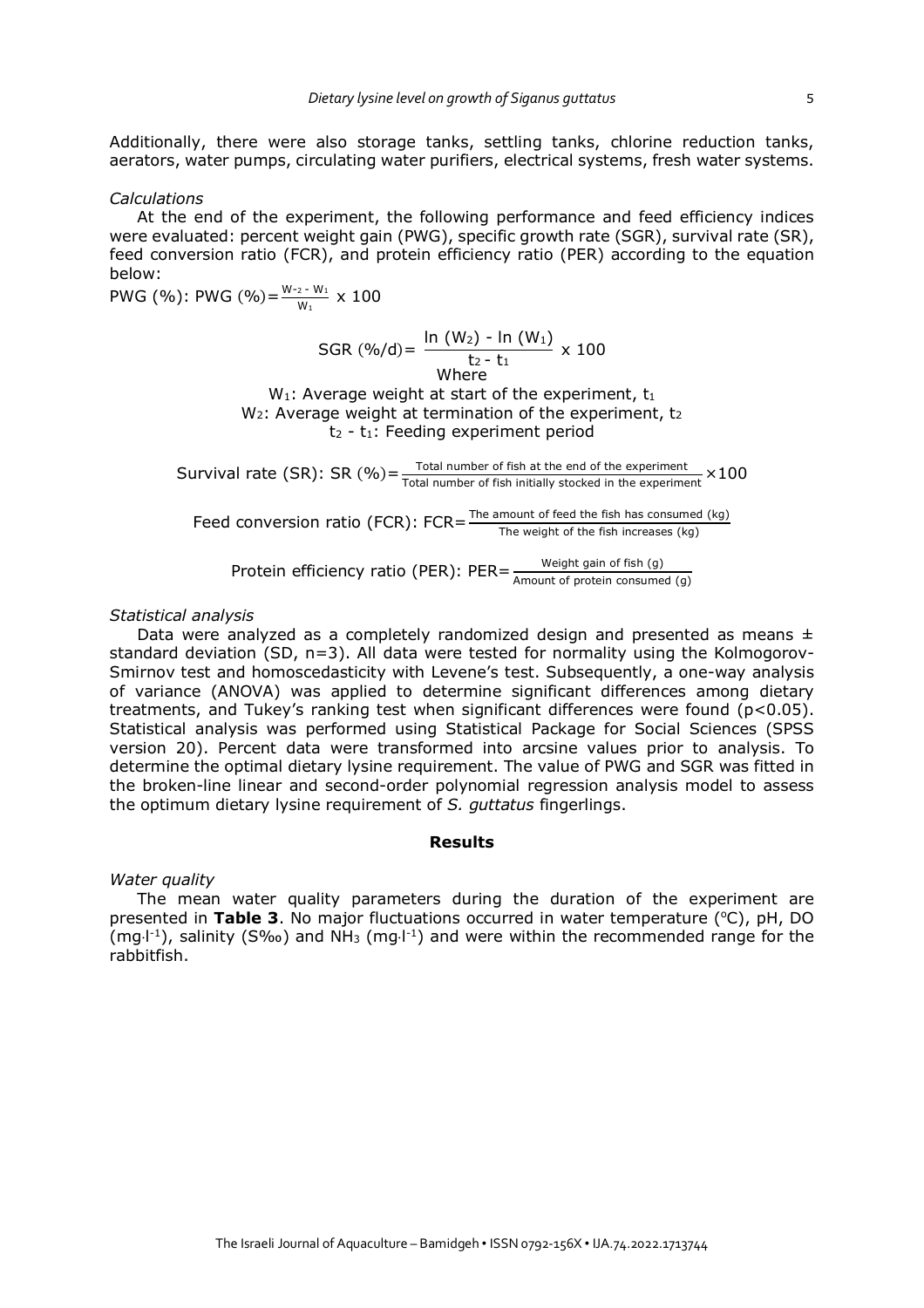Additionally, there were also storage tanks, settling tanks, chlorine reduction tanks, aerators, water pumps, circulating water purifiers, electrical systems, fresh water systems.

#### *Calculations*

At the end of the experiment, the following performance and feed efficiency indices were evaluated: percent weight gain (PWG), specific growth rate (SGR), survival rate (SR), feed conversion ratio (FCR), and protein efficiency ratio (PER) according to the equation below:

PWG (%): PWG (%)= $\frac{W_{-2} - W_1}{W_1} \times 100$ 

SGR 
$$
(\frac{96}{d}) = \frac{\ln (W_2) - \ln (W_1)}{t_2 - t_1} \times 100
$$
  
Where

 $W_1$ : Average weight at start of the experiment,  $t_1$  $W_2$ : Average weight at termination of the experiment,  $t_2$  $t_2$  -  $t_1$ : Feeding experiment period

Survival rate (SR): SR (%) =  $\frac{Total number of fish at the end of the experiment}{Total number of fish initially stored in the experiment} \times 100$ 

Feed conversion ratio (FCR):  $FCR = \frac{The amount of feed the fish has consumed (kg) }{The weight of the fish increases (kg)}$ 

Protein efficiency ratio (PER):  $PER = \frac{Weight \ gain \ of \ fish \ (g)}{Amount \ of \ protein \ consumed \ (g)}$ 

#### *Statistical analysis*

Data were analyzed as a completely randomized design and presented as means  $\pm$ standard deviation (SD, n=3). All data were tested for normality using the Kolmogorov-Smirnov test and homoscedasticity with Levene's test. Subsequently, a one-way analysis of variance (ANOVA) was applied to determine significant differences among dietary treatments, and Tukey's ranking test when significant differences were found (p<0.05). Statistical analysis was performed using Statistical Package for Social Sciences (SPSS version 20). Percent data were transformed into arcsine values prior to analysis. To determine the optimal dietary lysine requirement. The value of PWG and SGR was fitted in the broken-line linear and second-order polynomial regression analysis model to assess the optimum dietary lysine requirement of *S. guttatus* fingerlings.

### **Results**

#### *Water quality*

The mean water quality parameters during the duration of the experiment are presented in Table 3. No major fluctuations occurred in water temperature (°C), pH, DO (mg $\cdot$ l<sup>-1</sup>), salinity (S‰) and NH<sub>3</sub> (mg $\cdot$ l<sup>-1</sup>) and were within the recommended range for the rabbitfish.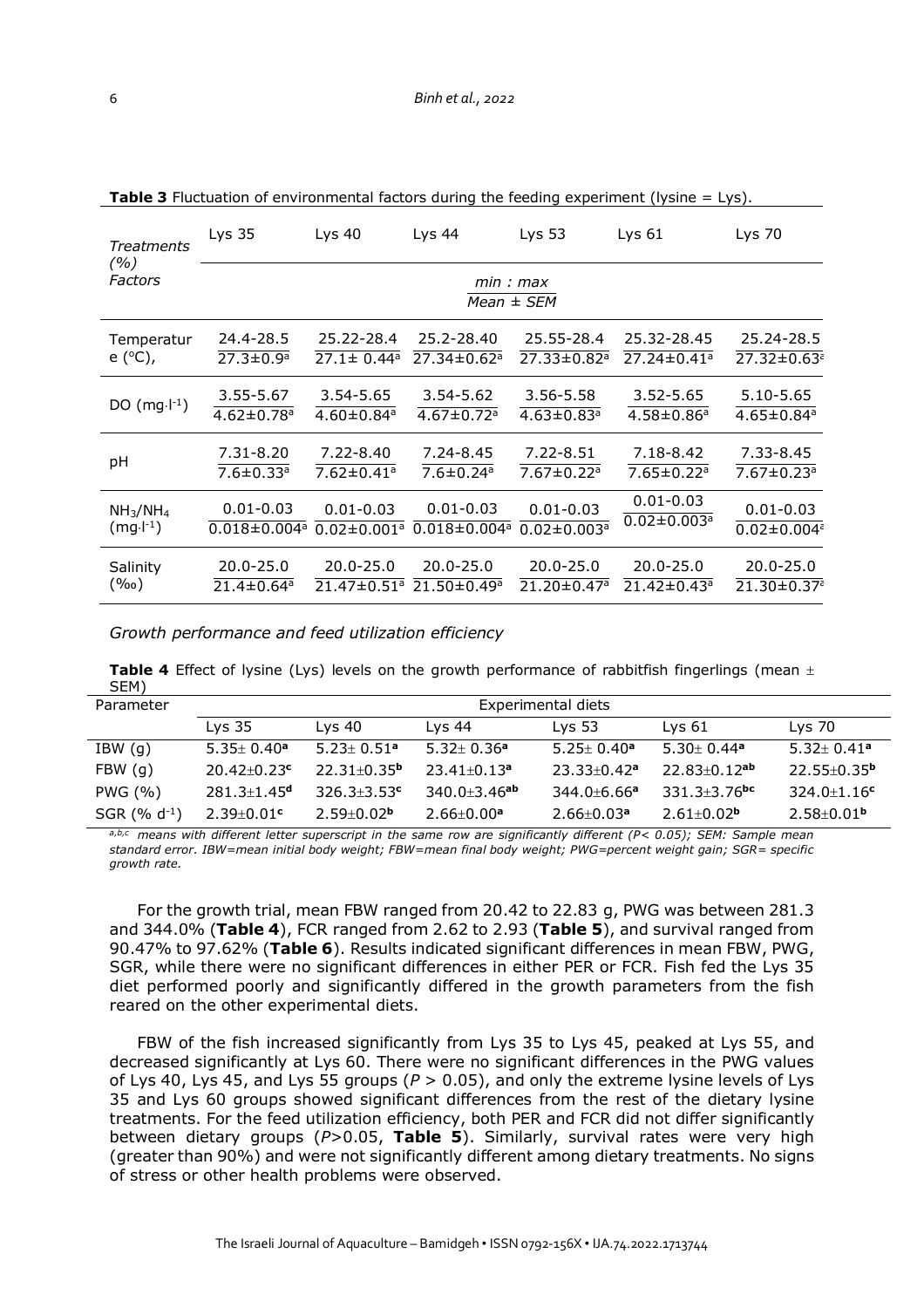| <b>Treatments</b>                | Lys <sub>35</sub>              | Lys 40                        | Lys 44                        | Lys $53$                      | Lys $61$                      | Lys 70                        |
|----------------------------------|--------------------------------|-------------------------------|-------------------------------|-------------------------------|-------------------------------|-------------------------------|
| (%)<br>Factors                   |                                |                               | min: max<br>$Mean \pm SEM$    |                               |                               |                               |
| Temperatur                       | 24.4-28.5                      | 25.22-28.4                    | 25.2-28.40                    | 25.55-28.4                    | 25.32-28.45                   | 25.24-28.5                    |
| e (°C),                          | $27.3 \pm 0.9^a$               | $27.1 \pm 0.44$ <sup>a</sup>  | $27.34 \pm 0.62$ <sup>a</sup> | $27.33 \pm 0.82$ <sup>a</sup> | $27.24 \pm 0.41$ <sup>a</sup> | $27.32 \pm 0.63$ <sup>2</sup> |
| DO $(mg·l-1)$                    | 3.55-5.67                      | 3.54-5.65                     | $3.54 - 5.62$                 | 3.56-5.58                     | 3.52-5.65                     | 5.10-5.65                     |
|                                  | $4.62 \pm 0.78$ <sup>a</sup>   | $4.60 \pm 0.84$ <sup>a</sup>  | $4.67 \pm 0.72$ <sup>a</sup>  | $4.63 \pm 0.83$ <sup>a</sup>  | $4.58 \pm 0.86$ <sup>a</sup>  | $4.65 \pm 0.84$ <sup>a</sup>  |
| pH                               | $7.31 - 8.20$                  | $7.22 - 8.40$                 | 7.24-8.45                     | $7.22 - 8.51$                 | 7.18-8.42                     | 7.33-8.45                     |
|                                  | $7.6 \pm 0.33$ <sup>a</sup>    | $7.62 \pm 0.41$ <sup>a</sup>  | $7.6 \pm 0.24$ <sup>a</sup>   | $7.67 \pm 0.22$ <sup>a</sup>  | $7.65 \pm 0.22$ <sup>a</sup>  | $7.67 \pm 0.23$ <sup>a</sup>  |
| NH <sub>3</sub> /NH <sub>4</sub> | $0.01 - 0.03$                  | $0.01 - 0.03$                 | $0.01 - 0.03$                 | $0.01 - 0.03$                 | $0.01 - 0.03$                 | $0.01 - 0.03$                 |
| $(mg·l-1)$                       | $0.018 \pm 0.004$ <sup>a</sup> | $0.02 \pm 0.001$ <sup>a</sup> | $0.018 \pm 0.004$ a           | $0.02 \pm 0.003$ <sup>a</sup> | $0.02 \pm 0.003$ <sup>a</sup> | $0.02 \pm 0.004$ <sup>2</sup> |
| Salinity                         | $20.0 - 25.0$                  | $20.0 - 25.0$                 | $20.0 - 25.0$                 | 20.0-25.0                     | $20.0 - 25.0$                 | $20.0 - 25.0$                 |
| $(\%0)$                          | $21.4 \pm 0.64$ <sup>a</sup>   | $21.47 \pm 0.51$ <sup>a</sup> | 21.50±0.49 <sup>a</sup>       | 21.20±0.47 <sup>a</sup>       | 21.42±0.43 <sup>a</sup>       | 21.30±0.37 <sup>z</sup>       |

**Table 3** Fluctuation of environmental factors during the feeding experiment (lysine = Lys).

*Growth performance and feed utilization efficiency*

**Table 4** Effect of lysine (Lys) levels on the growth performance of rabbitfish fingerlings (mean  $\pm$ SEM)

| Parameter                  |                             | Experimental diets           |                              |                              |                              |                    |  |
|----------------------------|-----------------------------|------------------------------|------------------------------|------------------------------|------------------------------|--------------------|--|
|                            | Lvs.35                      | $Lvs$ 40                     | Lys 44                       | $Lvs$ 53                     | $Lvs$ 61                     | Lys 70             |  |
| IBW(g)                     | $5.35 + 0.40a$              | $5.23 \pm 0.51$ <sup>a</sup> | $5.32 + 0.36a$               | $5.25 \pm 0.40$ <sup>a</sup> | $5.30 + 0.44$ <sup>a</sup>   | $5.32 + 0.41a$     |  |
| FBW(g)                     | $20.42 + 0.23$ c            | $22.31 + 0.35^b$             | $23.41 + 0.13$ <sup>a</sup>  | $23.33 + 0.42$ <sup>a</sup>  | $22.83+0.12$ <sup>ab</sup>   | $22.55 + 0.35^b$   |  |
| PWG(%)                     | $281.3 + 1.45$ <sup>d</sup> | $326.3 \pm 3.53$ c           | $340.0 + 3.46$ <sup>ab</sup> | $344.0 + 6.66$ <sup>a</sup>  | $331.3 + 3.76$ <sup>bc</sup> | $324.0 \pm 1.16$ c |  |
| $SGR$ (% d <sup>-1</sup> ) | $2.39 \pm 0.01$ c           | $2.59 + 0.02$ <sup>b</sup>   | $2.66 \pm 0.00$ <sup>a</sup> | $2.66 + 0.03a$               | $2.61 \pm 0.02$ <sup>b</sup> | $2.58 + 0.01b$     |  |

*a,b,c means with different letter superscript in the same row are significantly different (P< 0.05); SEM: Sample mean standard error. IBW=mean initial body weight; FBW=mean final body weight; PWG=percent weight gain; SGR= specific growth rate.*

For the growth trial, mean FBW ranged from 20.42 to 22.83 g, PWG was between 281.3 and 344.0% (**Table 4**), FCR ranged from 2.62 to 2.93 (**Table 5**), and survival ranged from 90.47% to 97.62% (**Table 6**). Results indicated significant differences in mean FBW, PWG, SGR, while there were no significant differences in either PER or FCR. Fish fed the Lys 35 diet performed poorly and significantly differed in the growth parameters from the fish reared on the other experimental diets.

FBW of the fish increased significantly from Lys 35 to Lys 45, peaked at Lys 55, and decreased significantly at Lys 60. There were no significant differences in the PWG values of Lys 40, Lys 45, and Lys 55 groups (*P* > 0.05), and only the extreme lysine levels of Lys 35 and Lys 60 groups showed significant differences from the rest of the dietary lysine treatments. For the feed utilization efficiency, both PER and FCR did not differ significantly between dietary groups (*P*>0.05, **Table 5**). Similarly, survival rates were very high (greater than 90%) and were not significantly different among dietary treatments. No signs of stress or other health problems were observed.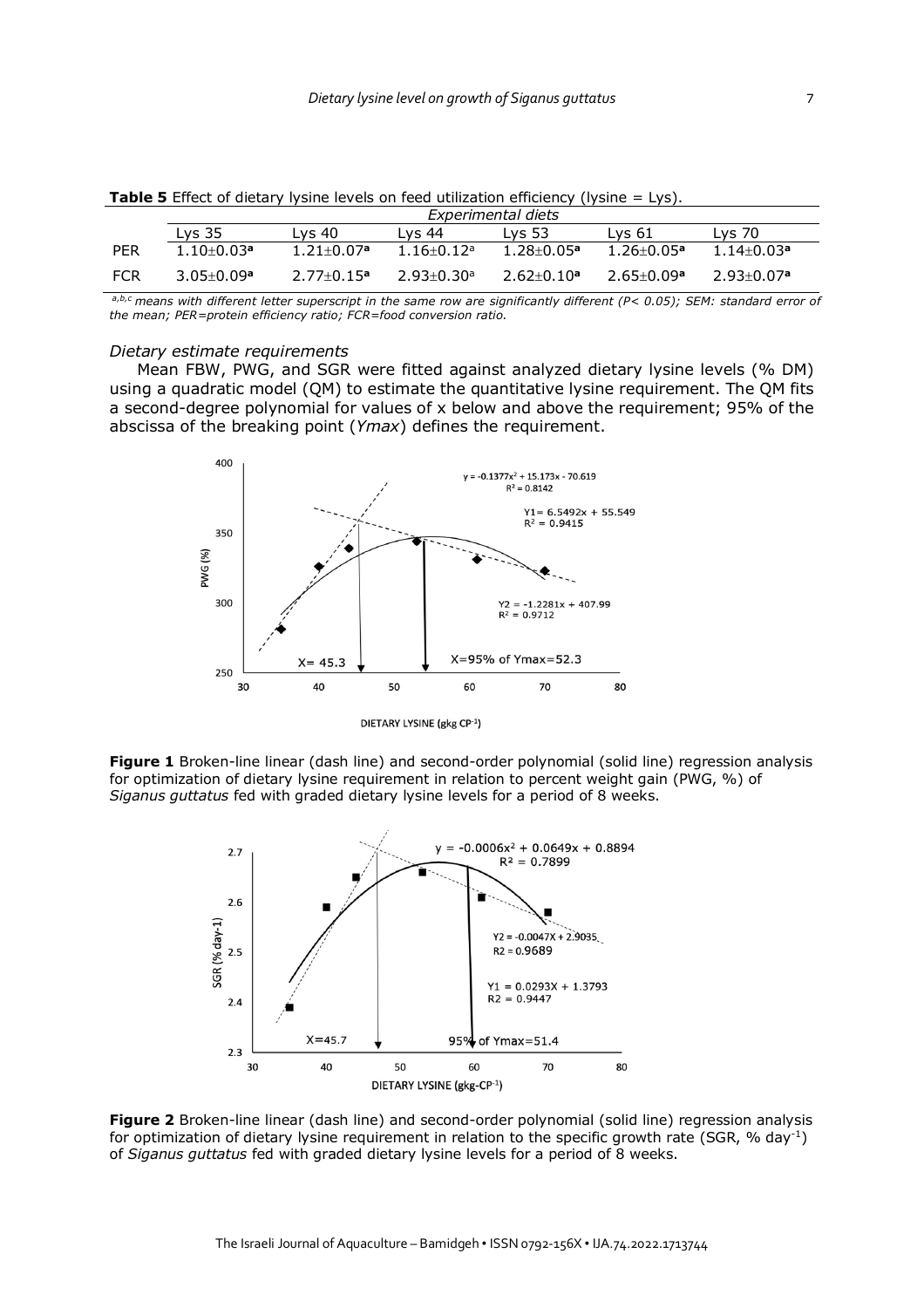|            |                              |                            |                            | Experimental diets           |                              |                              |
|------------|------------------------------|----------------------------|----------------------------|------------------------------|------------------------------|------------------------------|
|            | Lys <sub>35</sub>            | Lvs 40                     | Lvs 44                     | Lvs 53                       | Lvs 61                       | Lys 70                       |
| <b>PER</b> | $1.10+0.03$ <sup>a</sup>     | $1.21 + 0.07$ <sup>a</sup> | $1.16 + 0.12$ <sup>a</sup> | $1.28 \pm 0.05$ <sup>a</sup> | $1.26 \pm 0.05$ <sup>a</sup> | $1.14 \pm 0.03$ <sup>a</sup> |
| FCR        | $3.05 \pm 0.09$ <sup>a</sup> | $2.77+0.15a$               | $2.93 + 0.30a$             | $2.62 + 0.10a$               | $2.65 + 0.09a$               | $2.93 + 0.07$ a              |

**Table 5** Effect of dietary lysine levels on feed utilization efficiency (lysine = Lys).

*a,b,c means with different letter superscript in the same row are significantly different (P< 0.05); SEM: standard error of the mean; PER=protein efficiency ratio; FCR=food conversion ratio.*

#### *Dietary estimate requirements*

Mean FBW, PWG, and SGR were fitted against analyzed dietary lysine levels (% DM) using a quadratic model (QM) to estimate the quantitative lysine requirement. The QM fits a second-degree polynomial for values of x below and above the requirement; 95% of the abscissa of the breaking point (*Ymax*) defines the requirement.



DIETARY LYSINE (gkg CP-1)

**Figure 1** Broken-line linear (dash line) and second-order polynomial (solid line) regression analysis for optimization of dietary lysine requirement in relation to percent weight gain (PWG, %) of *Siganus guttatus* fed with graded dietary lysine levels for a period of 8 weeks.



**Figure 2** Broken-line linear (dash line) and second-order polynomial (solid line) regression analysis for optimization of dietary lysine requirement in relation to the specific growth rate (SGR, % day-1) of *Siganus guttatus* fed with graded dietary lysine levels for a period of 8 weeks.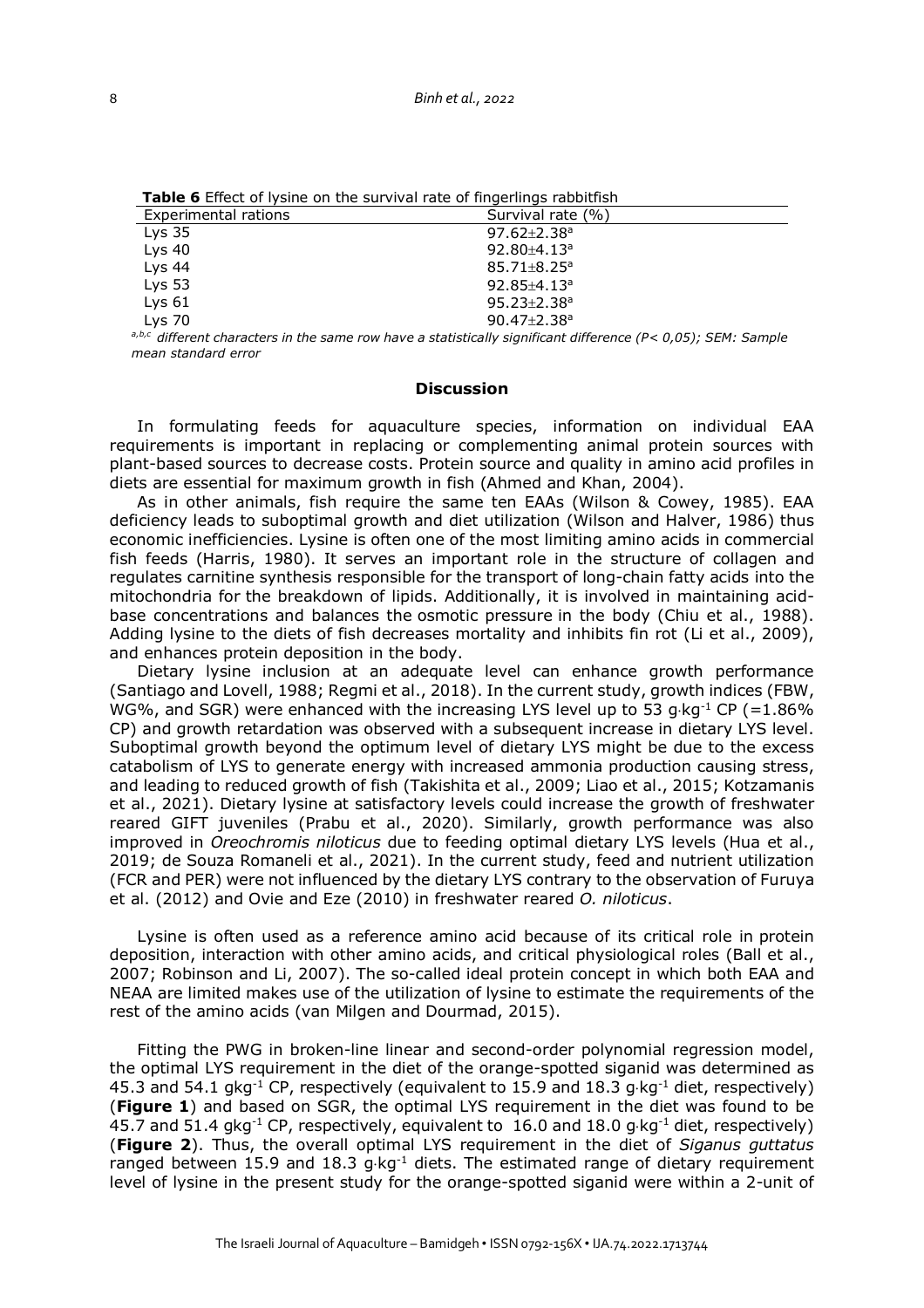| <b>Table &amp;</b> Elicet of Trolle on the Salvival rate of imacrinity rappithon |                               |
|----------------------------------------------------------------------------------|-------------------------------|
| Experimental rations                                                             | Survival rate (%)             |
| Lys <sub>35</sub>                                                                | $97.62 \pm 2.38$ <sup>a</sup> |
| $Lys$ 40                                                                         | $92.80 + 4.13$ <sup>a</sup>   |
| Lys $44$                                                                         | $85.71 \pm 8.25$ <sup>a</sup> |
| Lys $53$                                                                         | 92.85 $\pm$ 4.13 <sup>a</sup> |
| Lys <sub>61</sub>                                                                | $95.23 \pm 2.38$ <sup>a</sup> |
| Lvs 70                                                                           | $90.47 \pm 2.38$ <sup>a</sup> |

**Table 6** Effect of lysine on the survival rate of fingerlings rabbitfish

*a,b,c different characters in the same row have a statistically significant difference (P< 0,05); SEM: Sample mean standard error*

#### **Discussion**

In formulating feeds for aquaculture species, information on individual EAA requirements is important in replacing or complementing animal protein sources with plant-based sources to decrease costs. Protein source and quality in amino acid profiles in diets are essential for maximum growth in fish (Ahmed and Khan, 2004).

As in other animals, fish require the same ten EAAs (Wilson & Cowey, 1985). EAA deficiency leads to suboptimal growth and diet utilization (Wilson and Halver, 1986) thus economic inefficiencies. Lysine is often one of the most limiting amino acids in commercial fish feeds (Harris, 1980). It serves an important role in the structure of collagen and regulates carnitine synthesis responsible for the transport of long-chain fatty acids into the mitochondria for the breakdown of lipids. Additionally, it is involved in maintaining acidbase concentrations and balances the osmotic pressure in the body (Chiu et al., 1988). Adding lysine to the diets of fish decreases mortality and inhibits fin rot (Li et al., 2009), and enhances protein deposition in the body.

Dietary lysine inclusion at an adequate level can enhance growth performance (Santiago and Lovell, 1988; Regmi et al., 2018). In the current study, growth indices (FBW, WG%, and SGR) were enhanced with the increasing LYS level up to 53  $a$  kg<sup>-1</sup> CP (=1.86%) CP) and growth retardation was observed with a subsequent increase in dietary LYS level. Suboptimal growth beyond the optimum level of dietary LYS might be due to the excess catabolism of LYS to generate energy with increased ammonia production causing stress, and leading to reduced growth of fish (Takishita et al., 2009; Liao et al., 2015; Kotzamanis et al., 2021). Dietary lysine at satisfactory levels could increase the growth of freshwater reared GIFT juveniles (Prabu et al., 2020). Similarly, growth performance was also improved in *Oreochromis niloticus* due to feeding optimal dietary LYS levels (Hua et al., 2019; de Souza Romaneli et al., 2021). In the current study, feed and nutrient utilization (FCR and PER) were not influenced by the dietary LYS contrary to the observation of Furuya et al. (2012) and Ovie and Eze (2010) in freshwater reared *O. niloticus*.

Lysine is often used as a reference amino acid because of its critical role in protein deposition, interaction with other amino acids, and critical physiological roles (Ball et al., 2007; Robinson and Li, 2007). The so-called ideal protein concept in which both EAA and NEAA are limited makes use of the utilization of lysine to estimate the requirements of the rest of the amino acids (van Milgen and Dourmad, 2015).

Fitting the PWG in broken-line linear and second-order polynomial regression model, the optimal LYS requirement in the diet of the orange-spotted siganid was determined as 45.3 and 54.1 gkg<sup>-1</sup> CP, respectively (equivalent to 15.9 and 18.3 g $kg^{-1}$  diet, respectively) (**Figure 1**) and based on SGR, the optimal LYS requirement in the diet was found to be 45.7 and 51.4 gkg<sup>-1</sup> CP, respectively, equivalent to 16.0 and 18.0 g·kg<sup>-1</sup> diet, respectively) (**Figure 2**). Thus, the overall optimal LYS requirement in the diet of *Siganus guttatus* ranged between 15.9 and 18.3  $q \cdot kq^{-1}$  diets. The estimated range of dietary requirement level of lysine in the present study for the orange-spotted siganid were within a 2-unit of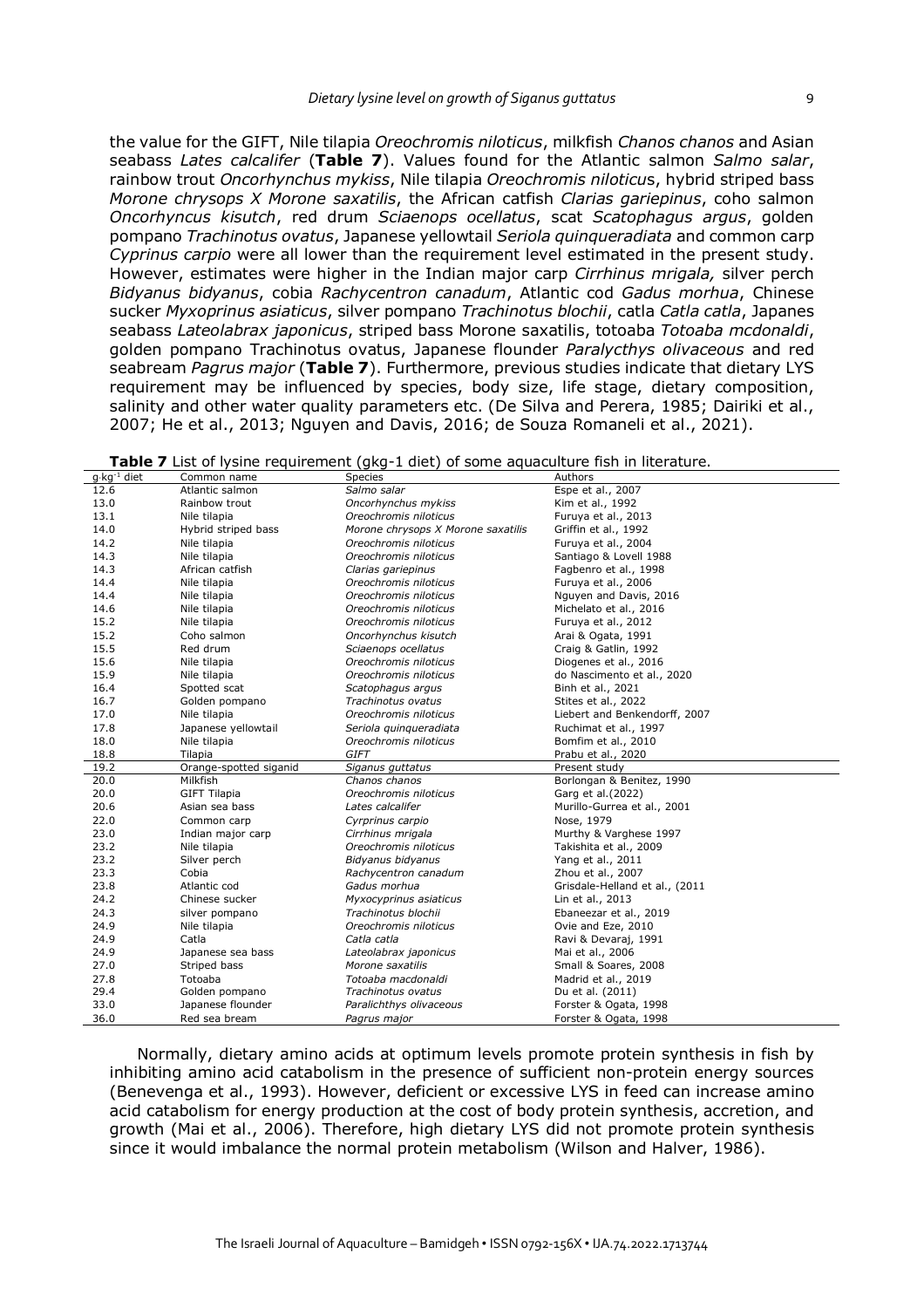the value for the GIFT, Nile tilapia *Oreochromis niloticus*, milkfish *Chanos chanos* and Asian seabass *Lates calcalifer* (**Table 7**). Values found for the Atlantic salmon *Salmo salar*, rainbow trout *Oncorhynchus mykiss*, Nile tilapia *Oreochromis niloticu*s, hybrid striped bass *Morone chrysops X Morone saxatilis*, the African catfish *Clarias gariepinus*, coho salmon *Oncorhyncus kisutch*, red drum *Sciaenops ocellatus*, scat *Scatophagus argus*, golden pompano *Trachinotus ovatus*, Japanese yellowtail *Seriola quinqueradiata* and common carp *Cyprinus carpio* were all lower than the requirement level estimated in the present study. However, estimates were higher in the Indian major carp *Cirrhinus mrigala,* silver perch *Bidyanus bidyanus*, cobia *Rachycentron canadum*, Atlantic cod *Gadus morhua*, Chinese sucker *Myxoprinus asiaticus*, silver pompano *Trachinotus blochii*, catla *Catla catla*, Japanes seabass *Lateolabrax japonicus*, striped bass Morone saxatilis, totoaba *Totoaba mcdonaldi*, golden pompano Trachinotus ovatus, Japanese flounder *Paralycthys olivaceous* and red seabream *Pagrus major* (**Table 7**). Furthermore, previous studies indicate that dietary LYS requirement may be influenced by species, body size, life stage, dietary composition, salinity and other water quality parameters etc. (De Silva and Perera, 1985; Dairiki et al.,

| $q \cdot$ kg <sup>-1</sup> diet | Common name            | Species                            | Authors                        |
|---------------------------------|------------------------|------------------------------------|--------------------------------|
| 12.6                            | Atlantic salmon        | Salmo salar                        | Espe et al., 2007              |
| 13.0                            | Rainbow trout          | Oncorhynchus mykiss                | Kim et al., 1992               |
| 13.1                            | Nile tilapia           | Oreochromis niloticus              | Furuya et al., 2013            |
| 14.0                            | Hybrid striped bass    | Morone chrysops X Morone saxatilis | Griffin et al., 1992           |
| 14.2                            | Nile tilapia           | Oreochromis niloticus              | Furuya et al., 2004            |
| 14.3                            | Nile tilapia           | Oreochromis niloticus              | Santiago & Lovell 1988         |
| 14.3                            | African catfish        | Clarias gariepinus                 | Fagbenro et al., 1998          |
| 14.4                            | Nile tilapia           | Oreochromis niloticus              | Furuya et al., 2006            |
| 14.4                            | Nile tilapia           | Oreochromis niloticus              | Nguyen and Davis, 2016         |
| 14.6                            | Nile tilapia           | Oreochromis niloticus              | Michelato et al., 2016         |
| 15.2                            | Nile tilapia           | Oreochromis niloticus              | Furuya et al., 2012            |
| 15.2                            | Coho salmon            | Oncorhynchus kisutch               | Arai & Ogata, 1991             |
| 15.5                            | Red drum               | Sciaenops ocellatus                | Craig & Gatlin, 1992           |
| 15.6                            | Nile tilapia           | Oreochromis niloticus              | Diogenes et al., 2016          |
| 15.9                            | Nile tilapia           | Oreochromis niloticus              | do Nascimento et al., 2020     |
| 16.4                            | Spotted scat           | Scatophagus argus                  | Binh et al., 2021              |
| 16.7                            | Golden pompano         | Trachinotus ovatus                 | Stites et al., 2022            |
| 17.0                            | Nile tilapia           | Oreochromis niloticus              | Liebert and Benkendorff, 2007  |
| 17.8                            | Japanese yellowtail    | Seriola quinqueradiata             | Ruchimat et al., 1997          |
| 18.0                            | Nile tilapia           | Oreochromis niloticus              | Bomfim et al., 2010            |
|                                 |                        |                                    |                                |
| 18.8                            | Tilapia                | GIFT                               | Prabu et al., 2020             |
| 19.2                            | Orange-spotted siganid | Siganus guttatus                   | Present study                  |
| 20.0                            | Milkfish               | Chanos chanos                      | Borlongan & Benitez, 1990      |
| 20.0                            | <b>GIFT Tilapia</b>    | Oreochromis niloticus              | Garg et al. (2022)             |
| 20.6                            | Asian sea bass         | Lates calcalifer                   | Murillo-Gurrea et al., 2001    |
| 22.0                            | Common carp            | Cyrprinus carpio                   | Nose, 1979                     |
| 23.0                            | Indian major carp      | Cirrhinus mrigala                  | Murthy & Varghese 1997         |
| 23.2                            | Nile tilapia           | Oreochromis niloticus              | Takishita et al., 2009         |
| 23.2                            | Silver perch           | Bidyanus bidyanus                  | Yang et al., 2011              |
| 23.3                            | Cobia                  | Rachycentron canadum               | Zhou et al., 2007              |
| 23.8                            | Atlantic cod           | Gadus morhua                       | Grisdale-Helland et al., (2011 |
| 24.2                            | Chinese sucker         | Myxocyprinus asiaticus             | Lin et al., 2013               |
| 24.3                            | silver pompano         | Trachinotus blochii                | Ebaneezar et al., 2019         |
| 24.9                            | Nile tilapia           | Oreochromis niloticus              | Ovie and Eze, 2010             |
| 24.9                            | Catla                  | Catla catla                        | Ravi & Devaraj, 1991           |
| 24.9                            | Japanese sea bass      | Lateolabrax japonicus              | Mai et al., 2006               |
| 27.0                            | Striped bass           | Morone saxatilis                   | Small & Soares, 2008           |
| 27.8                            | Totoaba                | Totoaba macdonaldi                 | Madrid et al., 2019            |
| 29.4                            | Golden pompano         | Trachinotus ovatus                 | Du et al. (2011)               |
| 33.0                            | Japanese flounder      | Paralichthys olivaceous            | Forster & Ogata, 1998          |

**Table 7** List of lysine requirement (gkg-1 diet) of some aquaculture fish in literature.

2007; He et al., 2013; Nguyen and Davis, 2016; de Souza Romaneli et al., 2021).

Normally, dietary amino acids at optimum levels promote protein synthesis in fish by inhibiting amino acid catabolism in the presence of sufficient non-protein energy sources (Benevenga et al., 1993). However, deficient or excessive LYS in feed can increase amino acid catabolism for energy production at the cost of body protein synthesis, accretion, and growth (Mai et al., 2006). Therefore, high dietary LYS did not promote protein synthesis since it would imbalance the normal protein metabolism (Wilson and Halver, 1986).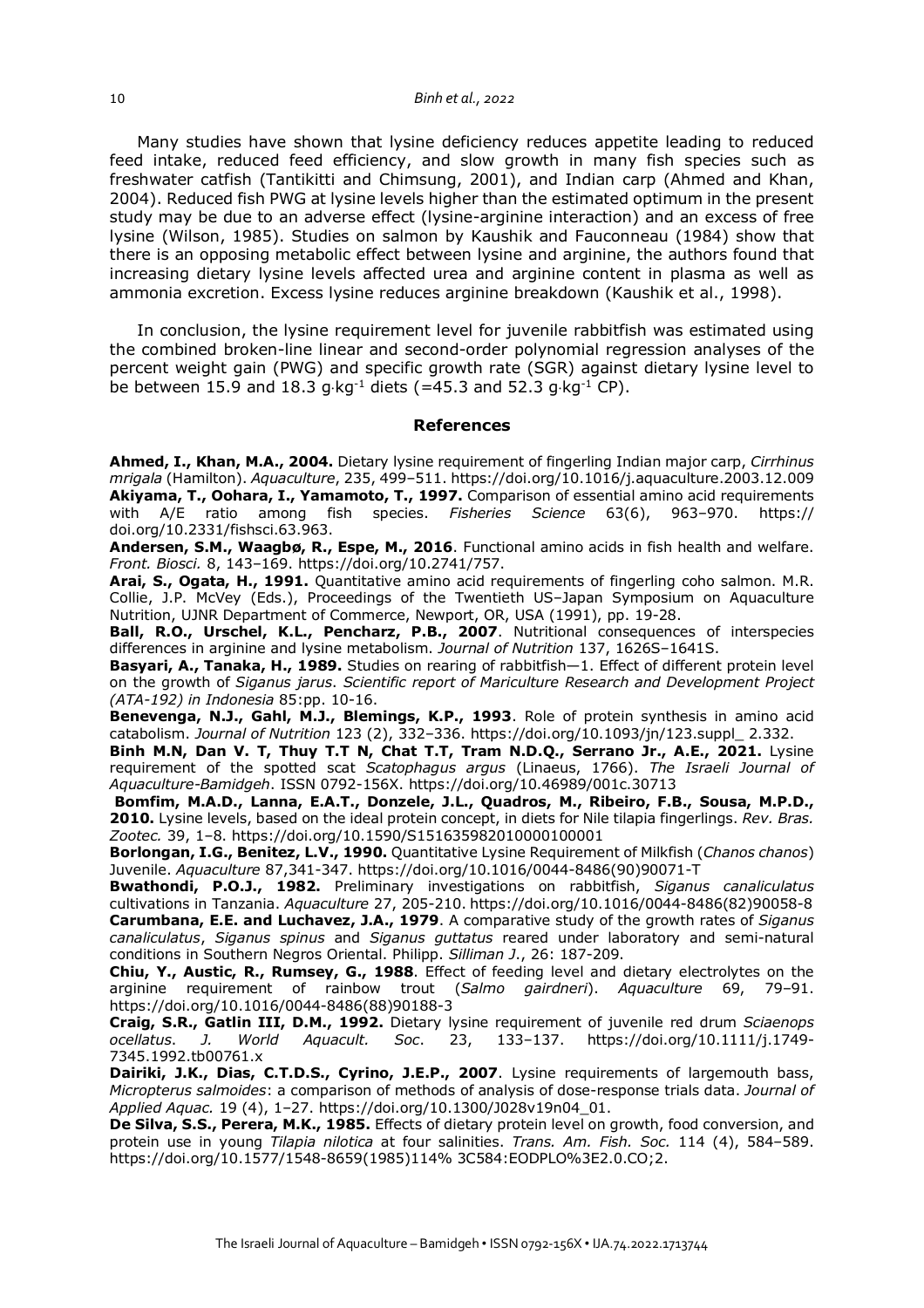Many studies have shown that lysine deficiency reduces appetite leading to reduced feed intake, reduced feed efficiency, and slow growth in many fish species such as freshwater catfish (Tantikitti and Chimsung, 2001), and Indian carp (Ahmed and Khan, 2004). Reduced fish PWG at lysine levels higher than the estimated optimum in the present study may be due to an adverse effect (lysine-arginine interaction) and an excess of free lysine (Wilson, 1985). Studies on salmon by Kaushik and Fauconneau (1984) show that there is an opposing metabolic effect between lysine and arginine, the authors found that increasing dietary lysine levels affected urea and arginine content in plasma as well as ammonia excretion. Excess lysine reduces arginine breakdown (Kaushik et al., 1998).

In conclusion, the lysine requirement level for juvenile rabbitfish was estimated using the combined broken-line linear and second-order polynomial regression analyses of the percent weight gain (PWG) and specific growth rate (SGR) against dietary lysine level to be between 15.9 and 18.3 g $kq^{-1}$  diets (=45.3 and 52.3 g $kq^{-1}$  CP).

#### **References**

**Ahmed, I., Khan, M.A., 2004.** Dietary lysine requirement of fingerling Indian major carp, *Cirrhinus mrigala* (Hamilton). *Aquaculture*, 235, 499–511. https://doi.org/10.1016/j.aquaculture.2003.12.009 **Akiyama, T., Oohara, I., Yamamoto, T., 1997.** Comparison of essential amino acid requirements with A/E ratio among fish species. *Fisheries Science* 63(6), 963–970. https:// doi.org/10.2331/fishsci.63.963.

**Andersen, S.M., Waagbø, R., Espe, M., 2016**. Functional amino acids in fish health and welfare. *Front. Biosci.* 8, 143–169. https://doi.org/10.2741/757.

**Arai, S., Ogata, H., 1991.** Quantitative amino acid requirements of fingerling coho salmon. M.R. Collie, J.P. McVey (Eds.), Proceedings of the Twentieth US–Japan Symposium on Aquaculture Nutrition, UJNR Department of Commerce, Newport, OR, USA (1991), pp. 19-28.

**Ball, R.O., Urschel, K.L., Pencharz, P.B., 2007**. Nutritional consequences of interspecies differences in arginine and lysine metabolism. *Journal of Nutrition* 137, 1626S–1641S.

**Basyari, A., Tanaka, H., 1989.** Studies on rearing of rabbitfish—1. Effect of different protein level on the growth of *Siganus jarus*. *Scientific report of Mariculture Research and Development Project (ATA-192) in Indonesia* 85:pp. 10-16.

**Benevenga, N.J., Gahl, M.J., Blemings, K.P., 1993**. Role of protein synthesis in amino acid catabolism. *Journal of Nutrition* 123 (2), 332–336. https://doi.org/10.1093/jn/123.suppl\_ 2.332.

Binh M.N, Dan V. T, Thuy T.T N, Chat T.T, Tram N.D.Q., Serrano Jr., A.E., 2021. Lysine requirement of the spotted scat *Scatophagus argus* (Linaeus, 1766). *The Israeli Journal of Aquaculture-Bamidgeh*. ISSN 0792-156X. https://doi.org/10.46989/001c.30713

**Bomfim, M.A.D., Lanna, E.A.T., Donzele, J.L., Quadros, M., Ribeiro, F.B., Sousa, M.P.D., 2010.** Lysine levels, based on the ideal protein concept, in diets for Nile tilapia fingerlings. *Rev. Bras. Zootec.* 39, 1–8. https://doi.org/10.1590/S151635982010000100001

**Borlongan, I.G., Benitez, L.V., 1990.** Quantitative Lysine Requirement of Milkfish (*Chanos chanos*) Juvenile. *Aquaculture* 87,341-347. https://doi.org/10.1016/0044-8486(90)90071-T

**Bwathondi, P.O.J., 1982.** Preliminary investigations on rabbitfish, *Siganus canaliculatus* cultivations in Tanzania. *Aquaculture* 27, 205-210. https://doi.org/10.1016/0044-8486(82)90058-8 **Carumbana, E.E. and Luchavez, J.A., 1979**. A comparative study of the growth rates of *Siganus canaliculatus*, *Siganus spinus* and *Siganus guttatus* reared under laboratory and semi-natural conditions in Southern Negros Oriental. Philipp. *Silliman J*., 26: 187-209.

**Chiu, Y., Austic, R., Rumsey, G., 1988**. Effect of feeding level and dietary electrolytes on the arginine requirement of rainbow trout (*Salmo gairdneri*). *Aquaculture* 69, 79–91. https://doi.org/10.1016/0044-8486(88)90188-3

**Craig, S.R., Gatlin III, D.M., 1992.** Dietary lysine requirement of juvenile red drum *Sciaenops ocellatus*. *J. World Aquacult. Soc*. 23, 133–137. https://doi.org/10.1111/j.1749- 7345.1992.tb00761.x

**Dairiki, J.K., Dias, C.T.D.S., Cyrino, J.E.P., 2007**. Lysine requirements of largemouth bass, *Micropterus salmoides*: a comparison of methods of analysis of dose-response trials data. *Journal of Applied Aquac.* 19 (4), 1–27. https://doi.org/10.1300/J028v19n04\_01.

**De Silva, S.S., Perera, M.K., 1985.** Effects of dietary protein level on growth, food conversion, and protein use in young *Tilapia nilotica* at four salinities. *Trans. Am. Fish. Soc.* 114 (4), 584–589. https://doi.org/10.1577/1548-8659(1985)114% 3C584:EODPLO%3E2.0.CO;2.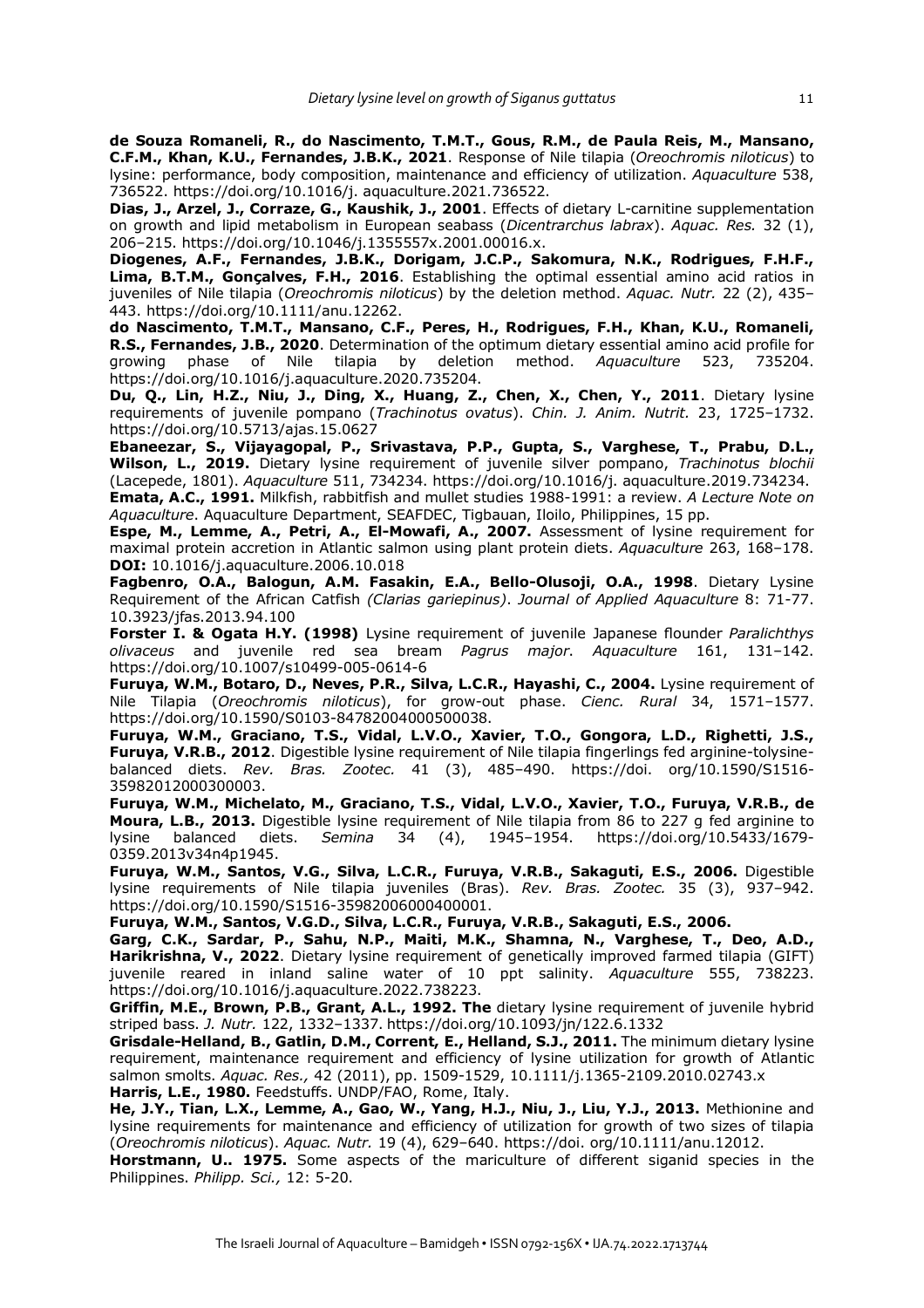**de Souza Romaneli, R., do Nascimento, T.M.T., Gous, R.M., de Paula Reis, M., Mansano, C.F.M., Khan, K.U., Fernandes, J.B.K., 2021**. Response of Nile tilapia (*Oreochromis niloticus*) to lysine: performance, body composition, maintenance and efficiency of utilization. *Aquaculture* 538, 736522. https://doi.org/10.1016/j. aquaculture.2021.736522.

**Dias, J., Arzel, J., Corraze, G., Kaushik, J., 2001**. Effects of dietary L-carnitine supplementation on growth and lipid metabolism in European seabass (*Dicentrarchus labrax*). *Aquac. Res.* 32 (1), 206–215. https://doi.org/10.1046/j.1355557x.2001.00016.x.

**Diogenes, A.F., Fernandes, J.B.K., Dorigam, J.C.P., Sakomura, N.K., Rodrigues, F.H.F., Lima, B.T.M., Gonçalves, F.H., 2016**. Establishing the optimal essential amino acid ratios in juveniles of Nile tilapia (*Oreochromis niloticus*) by the deletion method. *Aquac. Nutr.* 22 (2), 435– 443. https://doi.org/10.1111/anu.12262.

**do Nascimento, T.M.T., Mansano, C.F., Peres, H., Rodrigues, F.H., Khan, K.U., Romaneli, R.S., Fernandes, J.B., 2020**. Determination of the optimum dietary essential amino acid profile for growing phase of Nile tilapia by deletion method. *Aquaculture* 523, 735204. https://doi.org/10.1016/j.aquaculture.2020.735204.

**Du, Q., Lin, H.Z., Niu, J., Ding, X., Huang, Z., Chen, X., Chen, Y., 2011**. Dietary lysine requirements of juvenile pompano (*Trachinotus ovatus*). *Chin. J. Anim. Nutrit.* 23, 1725–1732. https://doi.org/10.5713/ajas.15.0627

**Ebaneezar, S., Vijayagopal, P., Srivastava, P.P., Gupta, S., Varghese, T., Prabu, D.L., Wilson, L., 2019.** Dietary lysine requirement of juvenile silver pompano, *Trachinotus blochii* (Lacepede, 1801). *Aquaculture* 511, 734234. https://doi.org/10.1016/j. aquaculture.2019.734234.

**Emata, A.C., 1991.** Milkfish, rabbitfish and mullet studies 1988-1991: a review. *A Lecture Note on Aquaculture*. Aquaculture Department, SEAFDEC, Tigbauan, Iloilo, Philippines, 15 pp.

**Espe, M., Lemme, A., Petri, A., El-Mowafi, A., 2007.** Assessment of lysine requirement for maximal protein accretion in Atlantic salmon using plant protein diets. *Aquaculture* 263, 168–178. **DOI:** 10.1016/j.aquaculture.2006.10.018

**Fagbenro, O.A., Balogun, A.M. Fasakin, E.A., Bello-Olusoji, O.A., 1998**. Dietary Lysine Requirement of the African Catfish *(Clarias gariepinus)*. *Journal of Applied Aquaculture* 8: 71-77. 10.3923/jfas.2013.94.100

**Forster I. & Ogata H.Y. (1998)** Lysine requirement of juvenile Japanese flounder *Paralichthys olivaceus* and juvenile red sea bream *Pagrus major*. *Aquaculture* 161, 131–142. https://doi.org/10.1007/s10499-005-0614-6

**Furuya, W.M., Botaro, D., Neves, P.R., Silva, L.C.R., Hayashi, C., 2004.** Lysine requirement of Nile Tilapia (*Oreochromis niloticus*), for grow-out phase. *Cienc. Rural* 34, 1571–1577. https://doi.org/10.1590/S0103-84782004000500038.

**Furuya, W.M., Graciano, T.S., Vidal, L.V.O., Xavier, T.O., Gongora, L.D., Righetti, J.S., Furuya, V.R.B., 2012**. Digestible lysine requirement of Nile tilapia fingerlings fed arginine-tolysinebalanced diets. *Rev. Bras. Zootec.* 41 (3), 485–490. https://doi. org/10.1590/S1516- 35982012000300003.

**Furuya, W.M., Michelato, M., Graciano, T.S., Vidal, L.V.O., Xavier, T.O., Furuya, V.R.B., de Moura, L.B., 2013.** Digestible lysine requirement of Nile tilapia from 86 to 227 g fed arginine to lysine balanced diets. *Semina* 34 (4), 1945–1954. https://doi.org/10.5433/1679- 0359.2013v34n4p1945.

**Furuya, W.M., Santos, V.G., Silva, L.C.R., Furuya, V.R.B., Sakaguti, E.S., 2006.** Digestible lysine requirements of Nile tilapia juveniles (Bras). *Rev. Bras. Zootec.* 35 (3), 937–942. https://doi.org/10.1590/S1516-35982006000400001.

**Furuya, W.M., Santos, V.G.D., Silva, L.C.R., Furuya, V.R.B., Sakaguti, E.S., 2006.**

**Garg, C.K., Sardar, P., Sahu, N.P., Maiti, M.K., Shamna, N., Varghese, T., Deo, A.D., Harikrishna, V., 2022**. Dietary lysine requirement of genetically improved farmed tilapia (GIFT) juvenile reared in inland saline water of 10 ppt salinity. *Aquaculture* 555, 738223. https://doi.org/10.1016/j.aquaculture.2022.738223.

**Griffin, M.E., Brown, P.B., Grant, A.L., 1992. The** dietary lysine requirement of juvenile hybrid striped bass. *J. Nutr.* 122, 1332–1337. https://doi.org/10.1093/jn/122.6.1332

**Grisdale-Helland, B., Gatlin, D.M., Corrent, E., Helland, S.J., 2011.** The minimum dietary lysine requirement, maintenance requirement and efficiency of lysine utilization for growth of Atlantic salmon smolts. *Aquac. Res.,* 42 (2011), pp. 1509-1529, 10.1111/j.1365-2109.2010.02743.x **Harris, L.E., 1980.** Feedstuffs. UNDP/FAO, Rome, Italy.

**He, J.Y., Tian, L.X., Lemme, A., Gao, W., Yang, H.J., Niu, J., Liu, Y.J., 2013.** Methionine and lysine requirements for maintenance and efficiency of utilization for growth of two sizes of tilapia (*Oreochromis niloticus*). *Aquac. Nutr.* 19 (4), 629–640. https://doi. org/10.1111/anu.12012.

**Horstmann, U.. 1975.** Some aspects of the mariculture of different siganid species in the Philippines. *Philipp. Sci.,* 12: 5-20.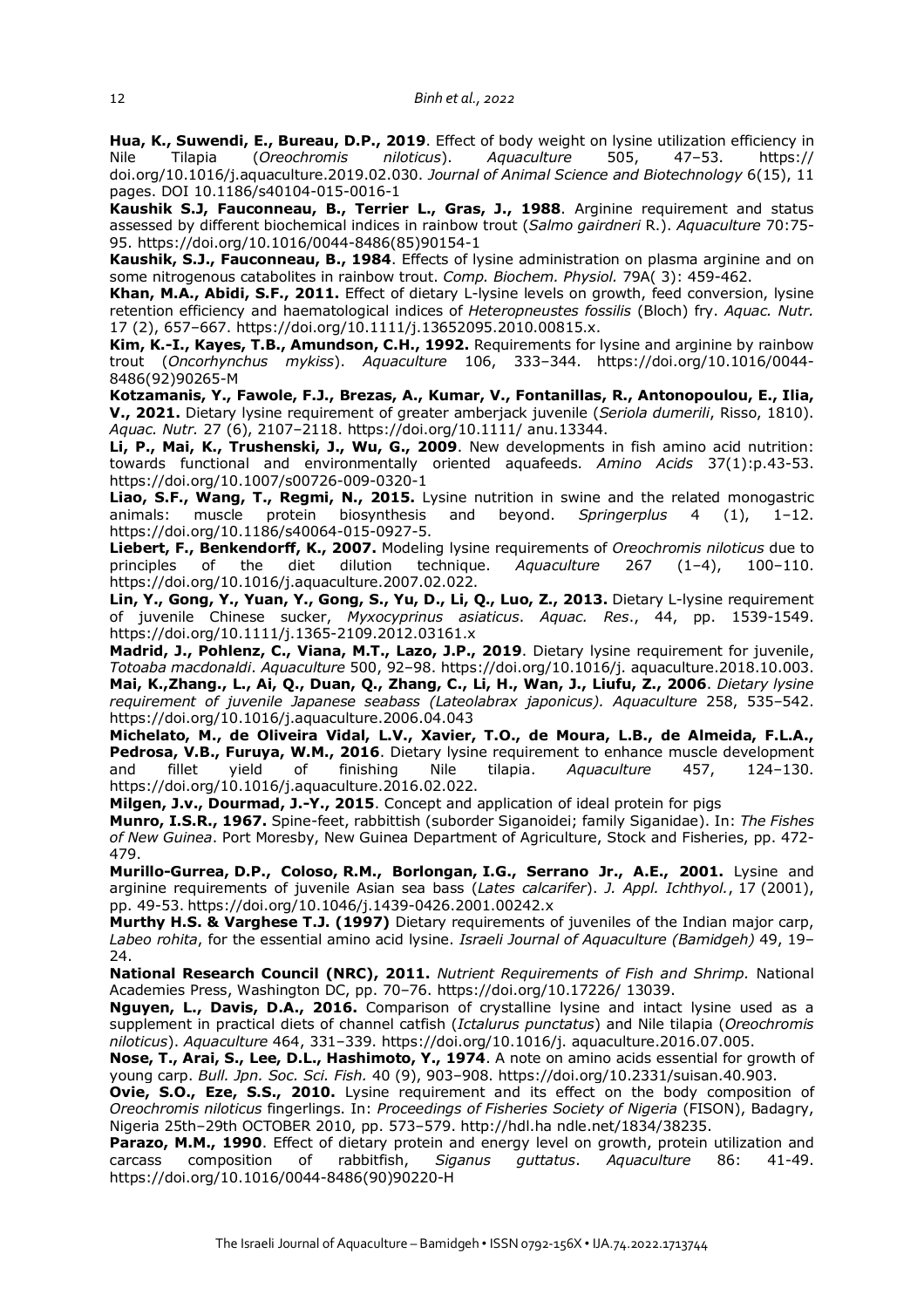**Hua, K., Suwendi, E., Bureau, D.P., 2019**. Effect of body weight on lysine utilization efficiency in Nile Tilapia (*Oreochromis niloticus*). *Aquaculture* 505, 47–53. https:// doi.org/10.1016/j.aquaculture.2019.02.030. *Journal of Animal Science and Biotechnology* 6(15), 11 pages. DOI 10.1186/s40104-015-0016-1

**Kaushik S.J, Fauconneau, B., Terrier L., Gras, J., 1988**. Arginine requirement and status assessed by different biochemical indices in rainbow trout (*Salmo gairdneri* R.). *Aquaculture* 70:75- 95. https://doi.org/10.1016/0044-8486(85)90154-1

**Kaushik, S.J., Fauconneau, B., 1984**. Effects of lysine administration on plasma arginine and on some nitrogenous catabolites in rainbow trout. *Comp. Biochem. Physiol.* 79A( 3): 459-462.

**Khan, M.A., Abidi, S.F., 2011.** Effect of dietary L-lysine levels on growth, feed conversion, lysine retention efficiency and haematological indices of *Heteropneustes fossilis* (Bloch) fry. *Aquac. Nutr.* 17 (2), 657–667. https://doi.org/10.1111/j.13652095.2010.00815.x.

**Kim, K.-I., Kayes, T.B., Amundson, C.H., 1992.** Requirements for lysine and arginine by rainbow trout (*Oncorhynchus mykiss*). *Aquaculture* 106, 333–344. https://doi.org/10.1016/0044- 8486(92)90265-M

**Kotzamanis, Y., Fawole, F.J., Brezas, A., Kumar, V., Fontanillas, R., Antonopoulou, E., Ilia, V., 2021.** Dietary lysine requirement of greater amberjack juvenile (*Seriola dumerili*, Risso, 1810). *Aquac. Nutr.* 27 (6), 2107–2118. https://doi.org/10.1111/ anu.13344.

**Li, P., Mai, K., Trushenski, J., Wu, G., 2009**. New developments in fish amino acid nutrition: towards functional and environmentally oriented aquafeeds. *Amino Acids* 37(1):p.43-53. https://doi.org/10.1007/s00726-009-0320-1

**Liao, S.F., Wang, T., Regmi, N., 2015.** Lysine nutrition in swine and the related monogastric animals: muscle protein biosynthesis and beyond. *Springerplus* 4 (1), 1–12. https://doi.org/10.1186/s40064-015-0927-5.

**Liebert, F., Benkendorff, K., 2007.** Modeling lysine requirements of *Oreochromis niloticus* due to principles of the diet dilution technique. *Aquaculture* 267 (1–4), 100–110. https://doi.org/10.1016/j.aquaculture.2007.02.022.

**Lin, Y., Gong, Y., Yuan, Y., Gong, S., Yu, D., Li, Q., Luo, Z., 2013.** Dietary L-lysine requirement of juvenile Chinese sucker, *Myxocyprinus asiaticus*. *Aquac. Res*., 44, pp. 1539-1549. https://doi.org/10.1111/j.1365-2109.2012.03161.x

**Madrid, J., Pohlenz, C., Viana, M.T., Lazo, J.P., 2019**. Dietary lysine requirement for juvenile, *Totoaba macdonaldi*. *Aquaculture* 500, 92–98. https://doi.org/10.1016/j. aquaculture.2018.10.003. **Mai, K.,Zhang., L., Ai, Q., Duan, Q., Zhang, C., Li, H., Wan, J., Liufu, Z., 2006**. *Dietary lysine requirement of juvenile Japanese seabass (Lateolabrax japonicus). Aquaculture* 258, 535–542. https://doi.org/10.1016/j.aquaculture.2006.04.043

**Michelato, M., de Oliveira Vidal, L.V., Xavier, T.O., de Moura, L.B., de Almeida, F.L.A., Pedrosa, V.B., Furuya, W.M., 2016**. Dietary lysine requirement to enhance muscle development and fillet yield of finishing Nile tilapia. *Aquaculture* 457, 124–130. https://doi.org/10.1016/j.aquaculture.2016.02.022.

**Milgen, J.v., Dourmad, J.-Y., 2015**. Concept and application of ideal protein for pigs

**Munro, I.S.R., 1967.** Spine-feet, rabbittish (suborder Siganoidei; family Siganidae). In: *The Fishes of New Guinea*. Port Moresby, New Guinea Department of Agriculture, Stock and Fisheries, pp. 472- 479.

**Murillo-Gurrea, D.P., Coloso, R.M., Borlongan, I.G., Serrano Jr., A.E., 2001.** Lysine and arginine requirements of juvenile Asian sea bass (*Lates calcarifer*). *J. Appl. Ichthyol.*, 17 (2001), pp. 49-53. https://doi.org/10.1046/j.1439-0426.2001.00242.x

**Murthy H.S. & Varghese T.J. (1997)** Dietary requirements of juveniles of the Indian major carp, *Labeo rohita*, for the essential amino acid lysine. *Israeli Journal of Aquaculture (Bamidgeh)* 49, 19– 24.

**National Research Council (NRC), 2011.** *Nutrient Requirements of Fish and Shrimp.* National Academies Press, Washington DC, pp. 70–76. https://doi.org/10.17226/ 13039.

**Nguyen, L., Davis, D.A., 2016.** Comparison of crystalline lysine and intact lysine used as a supplement in practical diets of channel catfish (*Ictalurus punctatus*) and Nile tilapia (*Oreochromis niloticus*). *Aquaculture* 464, 331–339. https://doi.org/10.1016/j. aquaculture.2016.07.005.

**Nose, T., Arai, S., Lee, D.L., Hashimoto, Y., 1974**. A note on amino acids essential for growth of young carp. *Bull. Jpn. Soc. Sci. Fish.* 40 (9), 903–908. https://doi.org/10.2331/suisan.40.903.

**Ovie, S.O., Eze, S.S., 2010.** Lysine requirement and its effect on the body composition of *Oreochromis niloticus* fingerlings. In: *Proceedings of Fisheries Society of Nigeria* (FISON), Badagry, Nigeria 25th–29th OCTOBER 2010, pp. 573–579. http://hdl.ha ndle.net/1834/38235.

Parazo, M.M., 1990. Effect of dietary protein and energy level on growth, protein utilization and carcass composition of rabbitfish, *Siganus guttatus*. *Aquaculture* 86: 41-49. https://doi.org/10.1016/0044-8486(90)90220-H